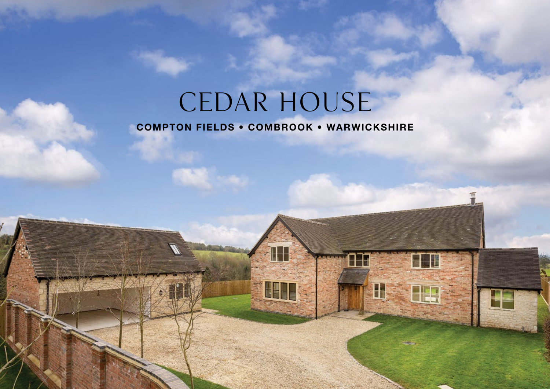# CEDAR HOUSE

ī

H

**THE SE** 

**TH** 

# **COMPTON FIELDS • COMBROOK • WARWICKSHIRE**

**SITE** 

**CETT**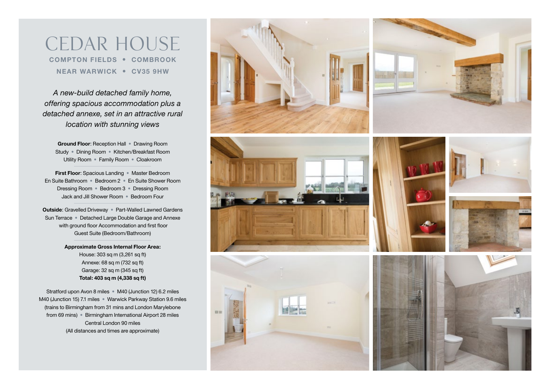CEDAR HOUSE **COMPTON FIELDS • COMBROOK NEAR WARWICK • CV35 9HW**

*A new-build detached family home, offering spacious accommodation plus a detached annexe, set in an attractive rural location with stunning views*

**Ground Floor**: Reception Hall • Drawing Room Study • Dining Room • Kitchen/Breakfast Room Utility Room • Family Room • Cloakroom

**First Floor**: Spacious Landing • Master Bedroom En Suite Bathroom • Bedroom 2 • En Suite Shower Room Dressing Room • Bedroom 3 • Dressing Room Jack and Jill Shower Room • Bedroom Four

**Outside**: Gravelled Driveway • Part-Walled Lawned Gardens Sun Terrace • Detached Large Double Garage and Annexe with ground floor Accommodation and first floor Guest Suite (Bedroom/Bathroom)

> **Approximate Gross Internal Floor Area:** House: 303 sq m (3,261 sq ft) Annexe: 68 sq m (732 sq ft) Garage: 32 sq m (345 sq ft) **Total: 403 sq m (4,338 sq ft)**

Stratford upon Avon 8 miles • M40 (Junction 12) 6.2 miles M40 (Junction 15) 7.1 miles • Warwick Parkway Station 9.6 miles (trains to Birmingham from 31 mins and London Marylebone from 69 mins) • Birmingham International Airport 28 miles Central London 90 miles (All distances and times are approximate)





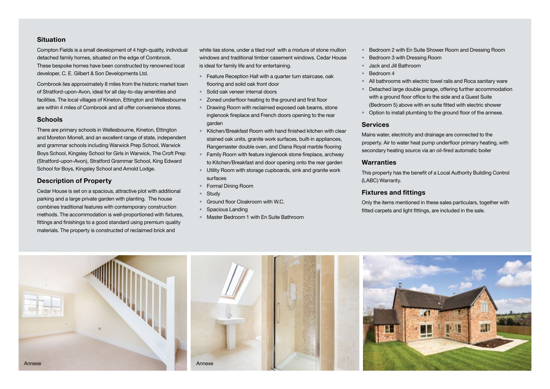## **Situation**

Compton Fields is a small development of 4 high-quality, individual detached family homes, situated on the edge of Combrook. These bespoke homes have been constructed by renowned local developer, C. E. Gilbert & Son Developments Ltd.

Combrook lies approximately 8 miles from the historic market town of Stratford-upon-Avon, ideal for all day-to-day amenities and facilities. The local villages of Kineton, Ettington and Wellesbourne are within 4 miles of Combrook and all offer convenience stores.

## **Schools**

There are primary schools in Wellesbourne, Kineton, Ettington and Moreton Morrell, and an excellent range of state, independent and grammar schools including Warwick Prep School, Warwick Boys School, Kingsley School for Girls in Warwick, The Croft Prep (Stratford-upon-Avon), Stratford Grammar School, King Edward School for Boys, Kingsley School and Arnold Lodge.

# **Description of Property**

Cedar House is set on a spacious, attractive plot with additional parking and a large private garden with planting. The house combines traditional features with contemporary construction methods. The accommodation is well-proportioned with fixtures, fittings and finishings to a good standard using premium quality materials. The property is constructed of reclaimed brick and

white lias stone, under a tiled roof with a mixture of stone mullion windows and traditional timber casement windows. Cedar House is ideal for family life and for entertaining.

- Feature Reception Hall with a quarter turn staircase, oak flooring and solid oak front door
- Solid oak veneer internal doors
- Zoned underfloor heating to the ground and first floor
- Drawing Room with reclaimed exposed oak beams, stone inglenook fireplace and French doors opening to the rear garden
- Kitchen/Breakfast Room with hand finished kitchen with clear stained oak units, granite work surfaces, built-in appliances, Rangemaster double oven, and Diana Royal marble flooring
- Family Room with feature inglenook stone fireplace, archway to Kitchen/Breakfast and door opening onto the rear garden
- Utility Room with storage cupboards, sink and granite work surfaces
- Formal Dining Room
- Study
- Ground floor Cloakroom with W.C.
- Spacious Landing
- Master Bedroom 1 with En Suite Bathroom
- Bedroom 2 with En Suite Shower Room and Dressing Room
- Bedroom 3 with Dressing Room
- Jack and Jill Bathroom
- Bedroom 4
- All bathrooms with electric towel rails and Roca sanitary ware
- Detached large double garage, offering further accommodation with a ground floor office to the side and a Guest Suite (Bedroom 5) above with en suite fitted with electric shower
- Option to install plumbing to the ground floor of the annexe.

#### **Services**

Mains water, electricity and drainage are connected to the property. Air to water heat pump underfloor primary heating, with secondary heating source via an oil-fired automatic boiler

# **Warranties**

This property has the benefit of a Local Authority Building Control (LABC) Warranty.

#### **Fixtures and fittings**

Only the items mentioned in these sales particulars, together with fitted carpets and light fittings, are included in the sale.